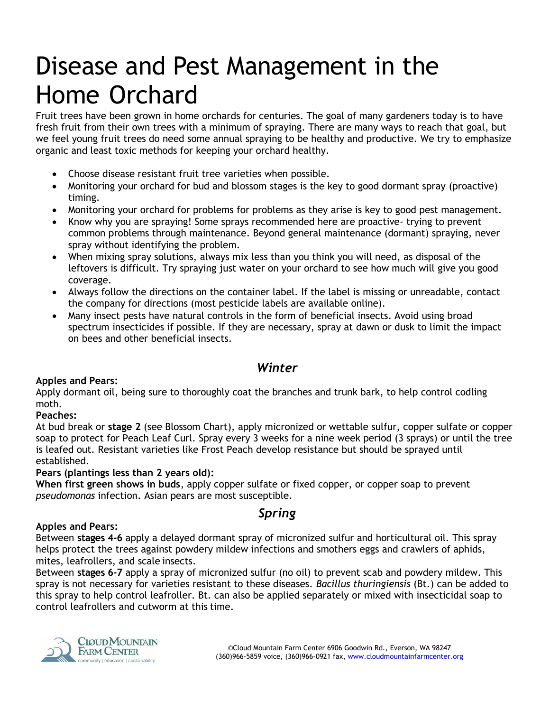# Disease and Pest Management in the Home Orchard

Fruit trees have been grown in home orchards for centuries. The goal of many gardeners today is to have fresh fruit from their own trees with a minimum of spraying. There are many ways to reach that goal, but we feel young fruit trees do need some annual spraying to be healthy and productive. We try to emphasize organic and least toxic methods for keeping your orchard healthy.

- Choose disease resistant fruit tree varieties when possible.
- Monitoring your orchard for bud and blossom stages is the key to good dormant spray (proactive) timing.
- Monitoring your orchard for problems for problems as they arise is key to good pest management.
- Know why you are spraying! Some sprays recommended here are proactive- trying to prevent common problems through maintenance. Beyond general maintenance (dormant) spraying, never spray without identifying the problem.
- When mixing spray solutions, always mix less than you think you will need, as disposal of the leftovers is difficult. Try spraying just water on your orchard to see how much will give you good coverage.
- Always follow the directions on the container label. If the label is missing or unreadable, contact the company for directions (most pesticide labels are available online).
- Many insect pests have natural controls in the form of beneficial insects. Avoid using broad spectrum insecticides if possible. If they are necessary, spray at dawn or dusk to limit the impact on bees and other beneficial insects.

# *Winter*

### **Apples and Pears:**

Apply dormant oil, being sure to thoroughly coat the branches and trunk bark, to help control codling moth.

### **Peaches:**

At bud break or **stage 2** (see Blossom Chart), apply micronized or wettable sulfur, copper sulfate or copper soap to protect for Peach Leaf Curl. Spray every 3 weeks for a nine week period (3 sprays) or until the tree is leafed out. Resistant varieties like Frost Peach develop resistance but should be sprayed until established.

### **Pears (plantings less than 2 years old):**

**When first green shows in buds**, apply copper sulfate or fixed copper, or copper soap to prevent *pseudomonas* infection. Asian pears are most susceptible.

# *Spring*

### **Apples and Pears:**

Between **stages 4-6** apply a delayed dormant spray of micronized sulfur and horticultural oil. This spray helps protect the trees against powdery mildew infections and smothers eggs and crawlers of aphids, mites, leafrollers, and scale insects.

Between **stages 6-7** apply a spray of micronized sulfur (no oil) to prevent scab and powdery mildew. This spray is not necessary for varieties resistant to these diseases. *Bacillus thuringiensis* (Bt.) can be added to this spray to help control leafroller. Bt. can also be applied separately or mixed with insecticidal soap to control leafrollers and cutworm at this time.

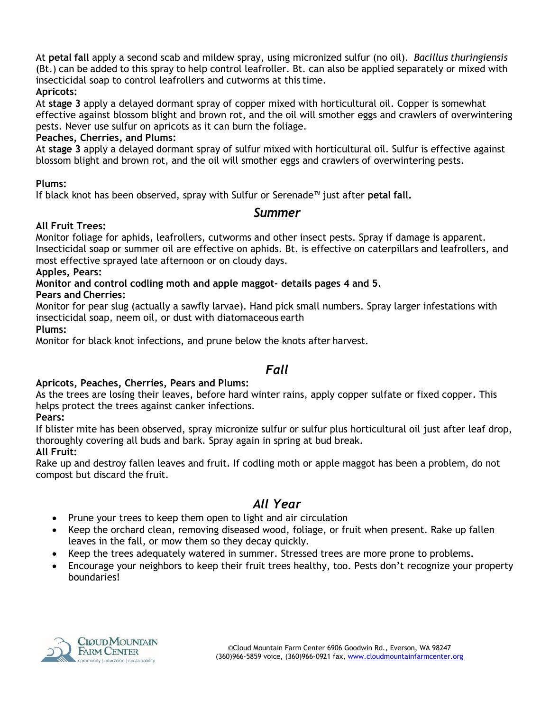At **petal fall** apply a second scab and mildew spray, using micronized sulfur (no oil). *Bacillus thuringiensis* (Bt.) can be added to this spray to help control leafroller. Bt. can also be applied separately or mixed with insecticidal soap to control leafrollers and cutworms at this time. **Apricots:**

At **stage 3** apply a delayed dormant spray of copper mixed with horticultural oil. Copper is somewhat effective against blossom blight and brown rot, and the oil will smother eggs and crawlers of overwintering pests. Never use sulfur on apricots as it can burn the foliage.

### **Peaches, Cherries, and Plums:**

At **stage 3** apply a delayed dormant spray of sulfur mixed with horticultural oil. Sulfur is effective against blossom blight and brown rot, and the oil will smother eggs and crawlers of overwintering pests.

### **Plums:**

If black knot has been observed, spray with Sulfur or Serenade™ just after **petal fall.**

### *Summer*

### **All Fruit Trees:**

Monitor foliage for aphids, leafrollers, cutworms and other insect pests. Spray if damage is apparent. Insecticidal soap or summer oil are effective on aphids. Bt. is effective on caterpillars and leafrollers, and most effective sprayed late afternoon or on cloudy days.

### **Apples, Pears:**

# **Monitor and control codling moth and apple maggot- details pages 4 and 5.**

**Pears and Cherries:**

Monitor for pear slug (actually a sawfly larvae). Hand pick small numbers. Spray larger infestations with insecticidal soap, neem oil, or dust with diatomaceous earth

**Plums:**

Monitor for black knot infections, and prune below the knots after harvest.

# *Fall*

### **Apricots, Peaches, Cherries, Pears and Plums:**

As the trees are losing their leaves, before hard winter rains, apply copper sulfate or fixed copper. This helps protect the trees against canker infections.

### **Pears:**

If blister mite has been observed, spray micronize sulfur or sulfur plus horticultural oil just after leaf drop, thoroughly covering all buds and bark. Spray again in spring at bud break.

### **All Fruit:**

Rake up and destroy fallen leaves and fruit. If codling moth or apple maggot has been a problem, do not compost but discard the fruit.

# *All Year*

- Prune your trees to keep them open to light and air circulation
- Keep the orchard clean, removing diseased wood, foliage, or fruit when present. Rake up fallen leaves in the fall, or mow them so they decay quickly.
- Keep the trees adequately watered in summer. Stressed trees are more prone to problems.
- Encourage your neighbors to keep their fruit trees healthy, too. Pests don't recognize your property boundaries!

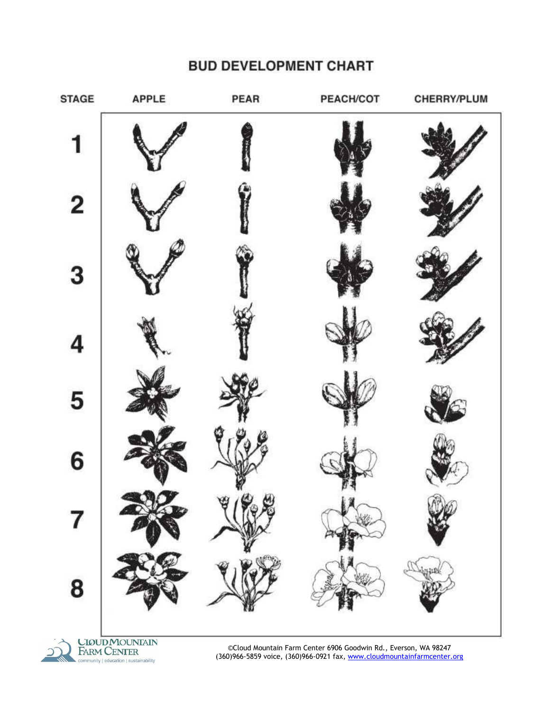# **BUD DEVELOPMENT CHART**





©Cloud Mountain Farm Center 6906 Goodwin Rd., Everson, WA 98247 (360)966-5859 voice, (360)966-0921 fax, [www.cloudmountainfarmcenter.org](http://www.cloudmountainfarmcenter.org/)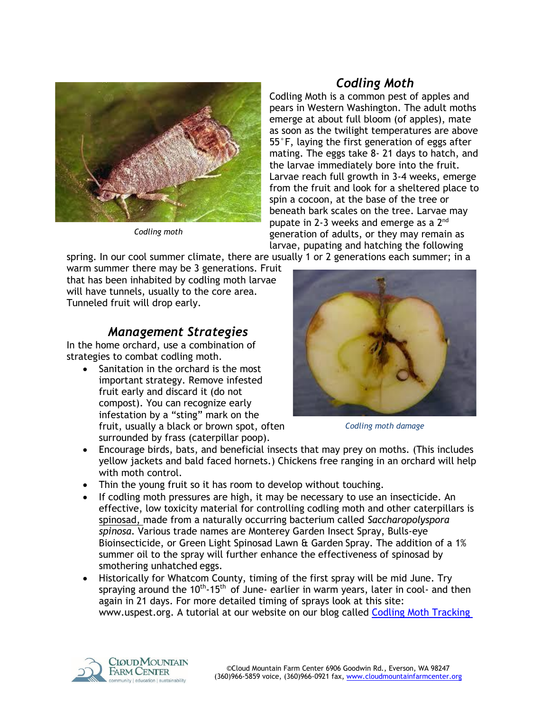

*Codling moth*

# *Codling Moth*

Codling Moth is a common pest of apples and pears in Western Washington. The adult moths emerge at about full bloom (of apples), mate as soon as the twilight temperatures are above 55°F, laying the first generation of eggs after mating. The eggs take 8- 21 days to hatch, and the larvae immediately bore into the fruit. Larvae reach full growth in 3-4 weeks, emerge from the fruit and look for a sheltered place to spin a cocoon, at the base of the tree or beneath bark scales on the tree. Larvae may pupate in 2-3 weeks and emerge as a  $2<sup>nd</sup>$ generation of adults, or they may remain as larvae, pupating and hatching the following

spring. In our cool summer climate, there are usually 1 or 2 generations each summer; in a

warm summer there may be 3 generations. Fruit that has been inhabited by codling moth larvae will have tunnels, usually to the core area. Tunneled fruit will drop early.

# *Management Strategies*

In the home orchard, use a combination of strategies to combat codling moth.

 Sanitation in the orchard is the most important strategy. Remove infested fruit early and discard it (do not compost). You can recognize early infestation by a "sting" mark on the fruit, usually a black or brown spot, often surrounded by frass (caterpillar poop).



*Codling moth damage*

- Encourage birds, bats, and beneficial insects that may prey on moths. (This includes yellow jackets and bald faced hornets.) Chickens free ranging in an orchard will help with moth control.
- Thin the young fruit so it has room to develop without touching.
- If codling moth pressures are high, it may be necessary to use an insecticide. An effective, low toxicity material for controlling codling moth and other caterpillars is spinosad, made from a naturally occurring bacterium called *Saccharopolyspora spinosa*. Various trade names are Monterey Garden Insect Spray, Bulls-eye Bioinsecticide, or Green Light Spinosad Lawn & Garden Spray. The addition of a 1% summer oil to the spray will further enhance the effectiveness of spinosad by smothering unhatched eggs.
- Historically for Whatcom County, timing of the first spray will be mid June. Try spraying around the  $10^{th}$ -15<sup>th</sup> of June- earlier in warm years, later in cool- and then again in 21 days. For more detailed timing of sprays look at this site: [www.uspest.org.](http://uspest.org/risk/models) A tutorial at our website on our blog called Codling Moth Tracking

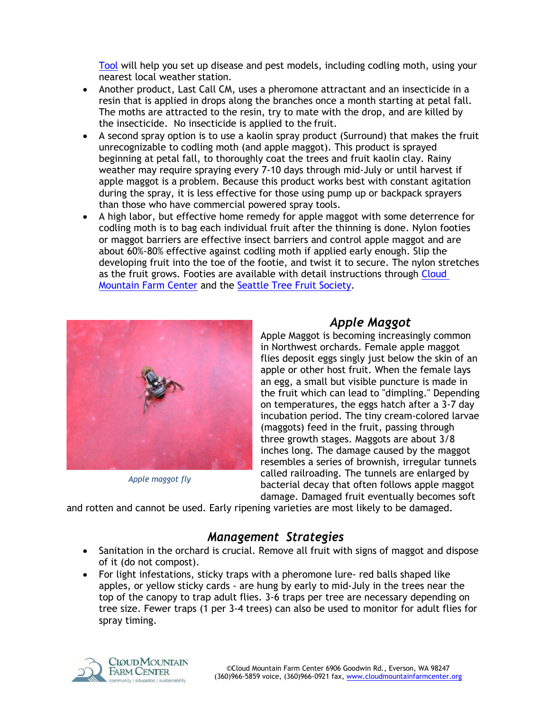[Tool](https://www.cloudmountainfarmcenter.org/codling-moth-tracking-tool/) will help you set up disease and pest models, including codling moth, using your nearest local weather station.

- Another product, Last Call CM, uses a pheromone attractant and an insecticide in a resin that is applied in drops along the branches once a month starting at petal fall. The moths are attracted to the resin, try to mate with the drop, and are killed by the insecticide. No insecticide is applied to the fruit.
- A second spray option is to use a kaolin spray product (Surround) that makes the fruit unrecognizable to codling moth (and apple maggot). This product is sprayed beginning at petal fall, to thoroughly coat the trees and fruit kaolin clay. Rainy weather may require spraying every 7-10 days through mid-July or until harvest if apple maggot is a problem. Because this product works best with constant agitation during the spray, it is less effective for those using pump up or backpack sprayers than those who have commercial powered spray tools.
- A high labor, but effective home remedy for apple maggot with some deterrence for codling moth is to bag each individual fruit after the thinning is done. Nylon footies or maggot barriers are effective insect barriers and control apple maggot and are about 60%-80% effective against codling moth if applied early enough. Slip the developing fruit into the toe of the footie, and twist it to secure. The nylon stretches as the fruit grows. Footies are available with detail instructions through Cloud [Mountain Farm Center](https://www.cloudmountainfarmcenter.org/nursery/maggot-barriers/) and the [Seattle Tree Fruit Society.](https://www.seattletreefruitsociety.com/wp-content/uploads/2012/03/maggot-barrier-pg2.pdf)



*Apple maggot fly*

# *Apple Maggot*

Apple Maggot is becoming increasingly common in Northwest orchards. Female apple maggot flies deposit eggs singly just below the skin of an apple or other host fruit. When the female lays an egg, a small but visible puncture is made in the fruit which can lead to "dimpling." Depending on temperatures, the eggs hatch after a 3-7 day incubation period. The tiny cream-colored larvae (maggots) feed in the fruit, passing through three growth stages. Maggots are about 3/8 inches long. The damage caused by the maggot resembles a series of brownish, irregular tunnels called railroading. The tunnels are enlarged by bacterial decay that often follows apple maggot damage. Damaged fruit eventually becomes soft

and rotten and cannot be used. Early ripening varieties are most likely to be damaged.

# *Management Strategies*

- Sanitation in the orchard is crucial. Remove all fruit with signs of maggot and dispose of it (do not compost).
- For light infestations, sticky traps with a pheromone lure- red balls shaped like apples, or yellow sticky cards - are hung by early to mid-July in the trees near the top of the canopy to trap adult flies. 3-6 traps per tree are necessary depending on tree size. Fewer traps (1 per 3-4 trees) can also be used to monitor for adult flies for spray timing.